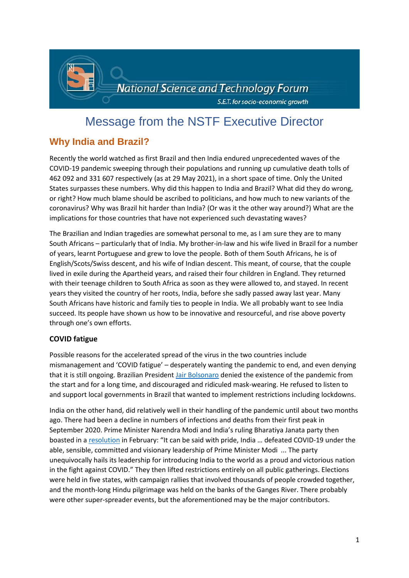

# Message from the NSTF Executive Director

# **Why India and Brazil?**

Recently the world watched as first Brazil and then India endured unprecedented waves of the COVID-19 pandemic sweeping through their populations and running up cumulative death tolls of 462 092 and 331 607 respectively (as at 29 May 2021), in a short space of time. Only the United States surpasses these numbers. Why did this happen to India and Brazil? What did they do wrong, or right? How much blame should be ascribed to politicians, and how much to new variants of the coronavirus? Why was Brazil hit harder than India? (Or was it the other way around?) What are the implications for those countries that have not experienced such devastating waves?

The Brazilian and Indian tragedies are somewhat personal to me, as I am sure they are to many South Africans – particularly that of India. My brother-in-law and his wife lived in Brazil for a number of years, learnt Portuguese and grew to love the people. Both of them South Africans, he is of English/Scots/Swiss descent, and his wife of Indian descent. This meant, of course, that the couple lived in exile during the Apartheid years, and raised their four children in England. They returned with their teenage children to South Africa as soon as they were allowed to, and stayed. In recent years they visited the country of her roots, India, before she sadly passed away last year. Many South Africans have historic and family ties to people in India. We all probably want to see India succeed. Its people have shown us how to be innovative and resourceful, and rise above poverty through one's own efforts.

#### **COVID fatigue**

Possible reasons for the accelerated spread of the virus in the two countries include mismanagement and 'COVID fatigue' – desperately wanting the pandemic to end, and even denying that it is still ongoing. Brazilian President [Jair Bolsonaro](https://www.bloomberg.com/news/articles/2021-03-31/covid-has-cornered-bolsonaro-who-s-maneuvering-to-stay-on-top) denied the existence of the pandemic from the start and for a long time, and discouraged and ridiculed mask-wearing. He refused to listen to and support local governments in Brazil that wanted to implement restrictions including lockdowns.

India on the other hand, did relatively well in their handling of the pandemic until about two months ago. There had been a decline in numbers of infections and deaths from their first peak in September 2020. Prime Minister Narendra Modi and India's ruling Bharatiya Janata party then boasted in a [resolution](https://www.channelnewsasia.com/news/asia/india-covid-coronavirus-modi-wave-ventilator-hospital-vaccine-14703832?cid=h3_referral_inarticlelinks_24082018_cna) in February: "It can be said with pride, India … defeated COVID-19 under the able, sensible, committed and visionary leadership of Prime Minister Modi  ... The party unequivocally hails its leadership for introducing India to the world as a proud and victorious nation in the fight against COVID." They then lifted restrictions entirely on all public gatherings. Elections were held in five states, with campaign rallies that involved thousands of people crowded together, and the month-long Hindu pilgrimage was held on the banks of the Ganges River. There probably were other super-spreader events, but the aforementioned may be the major contributors.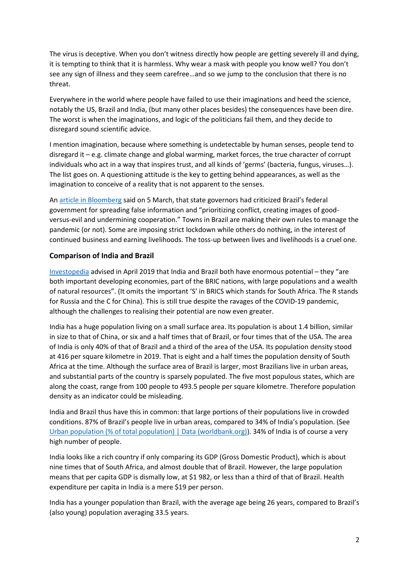The virus is deceptive. When you don't witness directly how people are getting severely ill and dying, it is tempting to think that it is harmless. Why wear a mask with people you know well? You don't see any sign of illness and they seem carefree…and so we jump to the conclusion that there is no threat.

Everywhere in the world where people have failed to use their imaginations and heed the science, notably the US, Brazil and India, (but many other places besides) the consequences have been dire. The worst is when the imaginations, and logic of the politicians fail them, and they decide to disregard sound scientific advice.

I mention imagination, because where something is undetectable by human senses, people tend to disregard it – e.g. climate change and global warming, market forces, the true character of corrupt individuals who act in a way that inspires trust, and all kinds of 'germs' (bacteria, fungus, viruses…). The list goes on. A questioning attitude is the key to getting behind appearances, as well as the imagination to conceive of a reality that is not apparent to the senses.

A[n article in Bloomberg](https://www.bloomberg.com/news/features/2021-03-05/coronavirus-crisis-in-brazil-deepens-as-covid-variant-spreads-and-deaths-spike) said on 5 March, that state governors had criticized Brazil's federal government for spreading false information and "prioritizing conflict, creating images of goodversus-evil and undermining cooperation." Towns in Brazil are making their own rules to manage the pandemic (or not). Some are imposing strict lockdown while others do nothing, in the interest of continued business and earning livelihoods. The toss-up between lives and livelihoods is a cruel one.

#### **Comparison of India and Brazil**

[Investopedia](https://www.investopedia.com/articles/markets/050416/economics-report-compare-and-contrast-india-vs-brazil-pbr.asp) advised in April 2019 that India and Brazil both have enormous potential – they "are both important developing economies, part of the BRIC nations, with large populations and a wealth of natural resources". (It omits the important 'S' in BRICS which stands for South Africa. The R stands for Russia and the C for China). This is still true despite the ravages of the COVID-19 pandemic, although the challenges to realising their potential are now even greater.

India has a huge population living on a small surface area. Its population is about 1.4 billion, similar in size to that of China, or six and a half times that of Brazil, or four times that of the USA. The area of India is only 40% of that of Brazil and a third of the area of the USA. Its population density stood at 416 per square kilometre in 2019. That is eight and a half times the population density of South Africa at the time. Although the surface area of Brazil is larger, most Brazilians live in urban areas, and substantial parts of the country is sparsely populated. The five most populous states, which are along the coast, range from 100 people to 493.5 people per square kilometre. Therefore population density as an indicator could be misleading.

India and Brazil thus have this in common: that large portions of their populations live in crowded conditions. 87% of Brazil's people live in urban areas, compared to 34% of India's population. (See [Urban population \(% of total population\) | Data \(worldbank.org\)\)](https://data.worldbank.org/indicator/SP.URB.TOTL.IN.ZS). 34% of India is of course a very high number of people.

India looks like a rich country if only comparing its GDP (Gross Domestic Product), which is about nine times that of South Africa, and almost double that of Brazil. However, the large population means that per capita GDP is dismally low, at \$1 982, or less than a third of that of Brazil. Health expenditure per capita in India is a mere \$19 per person.

India has a younger population than Brazil, with the average age being 26 years, compared to Brazil's (also young) population averaging 33.5 years.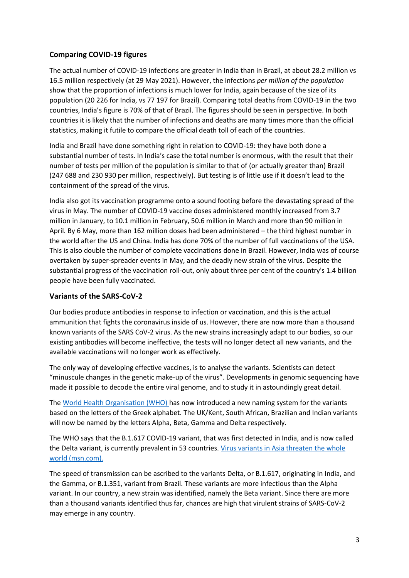#### **Comparing COVID-19 figures**

The actual number of COVID-19 infections are greater in India than in Brazil, at about 28.2 million vs 16.5 million respectively (at 29 May 2021). However, the infections *per million of the population* show that the proportion of infections is much lower for India, again because of the size of its population (20 226 for India, vs 77 197 for Brazil). Comparing total deaths from COVID-19 in the two countries, India's figure is 70% of that of Brazil. The figures should be seen in perspective. In both countries it is likely that the number of infections and deaths are many times more than the official statistics, making it futile to compare the official death toll of each of the countries.

India and Brazil have done something right in relation to COVID-19: they have both done a substantial number of tests. In India's case the total number is enormous, with the result that their number of tests per million of the population is similar to that of (or actually greater than) Brazil (247 688 and 230 930 per million, respectively). But testing is of little use if it doesn't lead to the containment of the spread of the virus.

India also got its vaccination programme onto a sound footing before the devastating spread of the virus in May. The number of COVID-19 vaccine doses administered monthly increased from 3.7 million in January, to 10.1 million in February, 50.6 million in March and more than 90 million in April. By 6 May, more than 162 million doses had been administered – the third highest number in the world after the US and China. India has done 70% of the number of full vaccinations of the USA. This is also double the number of complete vaccinations done in Brazil. However, India was of course overtaken by super-spreader events in May, and the deadly new strain of the virus. Despite the substantial progress of the vaccination roll-out, only about three per cent of the country's 1.4 billion people have been fully vaccinated.

#### **Variants of the SARS-CoV-2**

Our bodies produce antibodies in response to infection or vaccination, and this is the actual ammunition that fights the coronavirus inside of us. However, there are now more than a thousand known variants of the SARS CoV-2 virus. As the new strains increasingly adapt to our bodies, so our existing antibodies will become ineffective, the tests will no longer detect all new variants, and the available vaccinations will no longer work as effectively.

The only way of developing effective vaccines, is to analyse the variants. Scientists can detect "minuscule changes in the genetic make-up of the virus". Developments in genomic sequencing have made it possible to decode the entire viral genome, and to study it in astoundingly great detail.

The [World Health Organisation \(WHO\) h](file:///C:/Users/User/Downloads/B.1.617%20COVID-19%20Variant,%20First%20Detected%20in%20India,%20Now%20in%2053%20Countries:%20WHO%20(msn.com))as now introduced a new naming system for the variants based on the letters of the Greek alphabet. The UK/Kent, South African, Brazilian and Indian variants will now be named by the letters Alpha, Beta, Gamma and Delta respectively.

The WHO says that the B.1.617 COVID-19 variant, that was first detected in India, and is now called the Delta variant, is currently prevalent in 53 countries. [Virus variants in Asia threaten the whole](https://www.msn.com/en-za/news/other/virus-variants-in-asia-threaten-the-whole-world/ar-AAKBL9J?ocid=entnewsntp)  [world \(msn.com\).](https://www.msn.com/en-za/news/other/virus-variants-in-asia-threaten-the-whole-world/ar-AAKBL9J?ocid=entnewsntp)

The speed of transmission can be ascribed to the variants Delta, or B.1.617, originating in India, and the Gamma, or B.1.351, variant from Brazil. These variants are more infectious than the Alpha variant. In our country, a new strain was identified, namely the Beta variant. Since there are more than a thousand variants identified thus far, chances are high that virulent strains of SARS-CoV-2 may emerge in any country.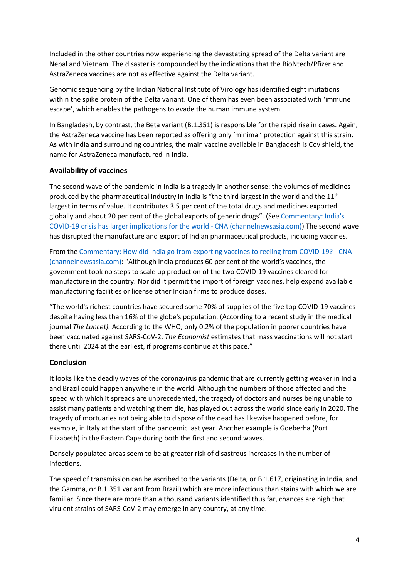Included in the other countries now experiencing the devastating spread of the Delta variant are Nepal and Vietnam. The disaster is compounded by the indications that the BioNtech/Pfizer and AstraZeneca vaccines are not as effective against the Delta variant.

Genomic sequencing by the Indian National Institute of Virology has identified eight mutations within the spike protein of the Delta variant. One of them has even been associated with 'immune escape', which enables the pathogens to evade the human immune system.

In Bangladesh, by contrast, the Beta variant (B.1.351) is responsible for the rapid rise in cases. Again, the AstraZeneca vaccine has been reported as offering only 'minimal' protection against this strain. As with India and surrounding countries, the main vaccine available in Bangladesh is Covishield, the name for AstraZeneca manufactured in India.

#### **Availability of vaccines**

The second wave of the pandemic in India is a tragedy in another sense: the volumes of medicines produced by the pharmaceutical industry in India is "the third largest in the world and the  $11<sup>th</sup>$ largest in terms of value. It contributes 3.5 per cent of the total drugs and medicines exported globally and about 20 per cent of the global exports of generic drugs". (See [Commentary: India's](Commentary:%20India)  [COVID-19 crisis has larger implications for the world -](Commentary:%20India) CNA (channelnewsasia.com)) The second wave has disrupted the manufacture and export of Indian pharmaceutical products, including vaccines.

From th[e Commentary: How did India go from exporting vaccines to reeling from COVID-19? -](https://www.channelnewsasia.com/news/asia/covid-19-coronavirus-india-modi-bjp-vaccine-oxygen-cases-death-14710314?cid=h3_referral_inarticlelinks_24082018_cna) CNA [\(channelnewsasia.com\)](https://www.channelnewsasia.com/news/asia/covid-19-coronavirus-india-modi-bjp-vaccine-oxygen-cases-death-14710314?cid=h3_referral_inarticlelinks_24082018_cna): "Although India produces 60 per cent of the world's vaccines, the government took no steps to scale up production of the two COVID-19 vaccines cleared for manufacture in the country. Nor did it permit the import of foreign vaccines, help expand available manufacturing facilities or license other Indian firms to produce doses.

"The world's richest countries have secured some 70% of supplies of the five top COVID-19 vaccines despite having less than 16% of the globe's population. (According to a recent study in the medical journal *The Lancet).* According to the WHO, only 0.2% of the population in poorer countries have been vaccinated against SARS-CoV-2. *The Economist* estimates that mass vaccinations will not start there until 2024 at the earliest, if programs continue at this pace."

#### **Conclusion**

It looks like the deadly waves of the coronavirus pandemic that are currently getting weaker in India and Brazil could happen anywhere in the world. Although the numbers of those affected and the speed with which it spreads are unprecedented, the tragedy of doctors and nurses being unable to assist many patients and watching them die, has played out across the world since early in 2020. The tragedy of mortuaries not being able to dispose of the dead has likewise happened before, for example, in Italy at the start of the pandemic last year. Another example is Gqeberha (Port Elizabeth) in the Eastern Cape during both the first and second waves.

Densely populated areas seem to be at greater risk of disastrous increases in the number of infections.

The speed of transmission can be ascribed to the variants (Delta, or B.1.617, originating in India, and the Gamma, or B.1.351 variant from Brazil) which are more infectious than stains with which we are familiar. Since there are more than a thousand variants identified thus far, chances are high that virulent strains of SARS-CoV-2 may emerge in any country, at any time.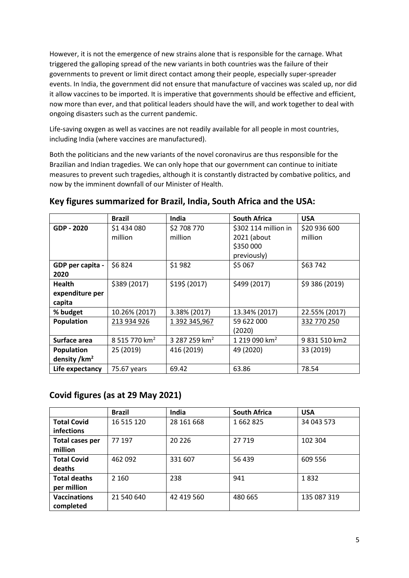However, it is not the emergence of new strains alone that is responsible for the carnage. What triggered the galloping spread of the new variants in both countries was the failure of their governments to prevent or limit direct contact among their people, especially super-spreader events. In India, the government did not ensure that manufacture of vaccines was scaled up, nor did it allow vaccines to be imported. It is imperative that governments should be effective and efficient, now more than ever, and that political leaders should have the will, and work together to deal with ongoing disasters such as the current pandemic.

Life-saving oxygen as well as vaccines are not readily available for all people in most countries, including India (where vaccines are manufactured).

Both the politicians and the new variants of the novel coronavirus are thus responsible for the Brazilian and Indian tragedies. We can only hope that our government can continue to initiate measures to prevent such tragedies, although it is constantly distracted by combative politics, and now by the imminent downfall of our Minister of Health.

|                          | Brazil                    | <b>India</b>              | <b>South Africa</b>       | <b>USA</b>     |
|--------------------------|---------------------------|---------------------------|---------------------------|----------------|
| GDP - 2020               | \$1 434 080               | \$2 708 770               | \$302 114 million in      | \$20 936 600   |
|                          | million                   | million                   | 2021 (about               | million        |
|                          |                           |                           | \$350 000                 |                |
|                          |                           |                           | previously)               |                |
| GDP per capita -         | \$6824                    | \$1982                    | \$5 067                   | \$63 742       |
| 2020                     |                           |                           |                           |                |
| <b>Health</b>            | \$389 (2017)              | \$19\$ (2017)             | \$499 (2017)              | \$9 386 (2019) |
| expenditure per          |                           |                           |                           |                |
| capita                   |                           |                           |                           |                |
| % budget                 | 10.26% (2017)             | 3.38% (2017)              | 13.34% (2017)             | 22.55% (2017)  |
| <b>Population</b>        | 213 934 926               | 1 392 345,967             | 59 622 000                | 332 770 250    |
|                          |                           |                           | (2020)                    |                |
| Surface area             | 8 515 770 km <sup>2</sup> | 3 287 259 km <sup>2</sup> | 1 219 090 km <sup>2</sup> | 9 831 510 km2  |
| Population               | 25 (2019)                 | 416 (2019)                | 49 (2020)                 | 33 (2019)      |
| density /km <sup>2</sup> |                           |                           |                           |                |
| Life expectancy          | 75.67 years               | 69.42                     | 63.86                     | 78.54          |

## **Key figures summarized for Brazil, India, South Africa and the USA:**

### **Covid figures (as at 29 May 2021)**

|                     | <b>Brazil</b> | India      | <b>South Africa</b> | <b>USA</b>  |
|---------------------|---------------|------------|---------------------|-------------|
| <b>Total Covid</b>  | 16 515 120    | 28 161 668 | 1662825             | 34 043 573  |
| <b>infections</b>   |               |            |                     |             |
| Total cases per     | 77 197        | 20 2 26    | 27719               | 102 304     |
| million             |               |            |                     |             |
| <b>Total Covid</b>  | 462 092       | 331 607    | 56 439              | 609 556     |
| deaths              |               |            |                     |             |
| <b>Total deaths</b> | 2 1 6 0       | 238        | 941                 | 1832        |
| per million         |               |            |                     |             |
| <b>Vaccinations</b> | 21 540 640    | 42 419 560 | 480 665             | 135 087 319 |
| completed           |               |            |                     |             |